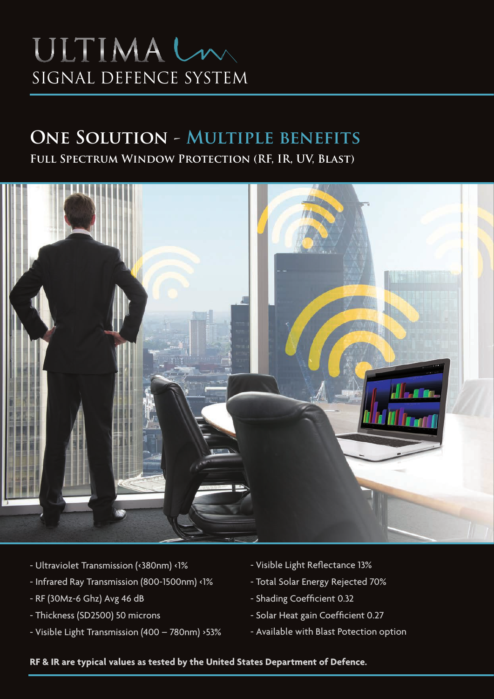# ULTIMALM SIGNAL DEFENCE SYSTEM

### **One Solution - Multiple benefits**

**Full Spectrum Window Protection (RF, IR, UV, Blast)**



- Ultraviolet Transmission (<380nm) <1%
- Infrared Ray Transmission (800-1500nm) <1%
- RF (30Mz-6 Ghz) Avg 46 dB
- Thickness (SD2500) 50 microns
- Visible Light Transmission (400 780nm) >53%
- Visible Light Reflectance 13%
- Total Solar Energy Rejected 70%
- Shading Coefficient 0.32
- Solar Heat gain Coefficient 0.27
- Available with Blast Potection option

**RF & IR are typical values as tested by the United States Department of Defence.**